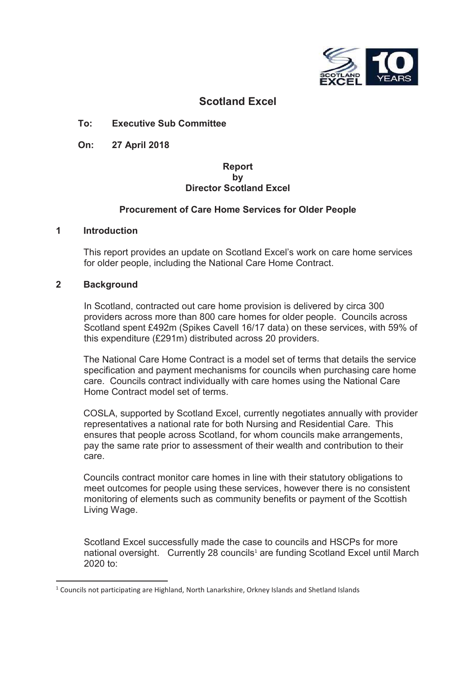

# **Scotland Excel**

#### **To: Executive Sub Committee**

**On: 27 April 2018**

#### **Report by Director Scotland Excel**

#### **Procurement of Care Home Services for Older People**

#### **1 Introduction**

This report provides an update on Scotland Excel's work on care home services for older people, including the National Care Home Contract.

#### **2 Background**

In Scotland, contracted out care home provision is delivered by circa 300 providers across more than 800 care homes for older people. Councils across Scotland spent £492m (Spikes Cavell 16/17 data) on these services, with 59% of this expenditure (£291m) distributed across 20 providers.

The National Care Home Contract is a model set of terms that details the service specification and payment mechanisms for councils when purchasing care home care. Councils contract individually with care homes using the National Care Home Contract model set of terms.

COSLA, supported by Scotland Excel, currently negotiates annually with provider representatives a national rate for both Nursing and Residential Care. This ensures that people across Scotland, for whom councils make arrangements, pay the same rate prior to assessment of their wealth and contribution to their care.

Councils contract monitor care homes in line with their statutory obligations to meet outcomes for people using these services, however there is no consistent monitoring of elements such as community benefits or payment of the Scottish Living Wage.

Scotland Excel successfully made the case to councils and HSCPs for more national oversight. Currently 28 councils<sup>1</sup> are funding Scotland Excel until March 2020 to:

 $<sup>1</sup>$  Councils not participating are Highland, North Lanarkshire, Orkney Islands and Shetland Islands</sup>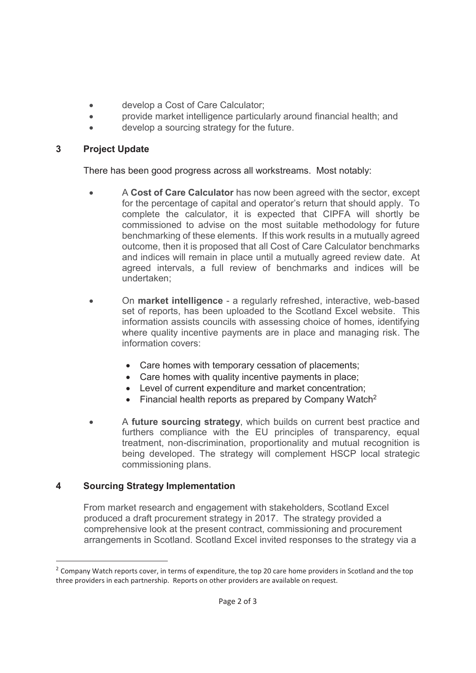- develop a Cost of Care Calculator;
- provide market intelligence particularly around financial health; and
- develop a sourcing strategy for the future.

## **3 Project Update**

There has been good progress across all workstreams. Most notably:

- x A **Cost of Care Calculator** has now been agreed with the sector, except for the percentage of capital and operator's return that should apply. To complete the calculator, it is expected that CIPFA will shortly be commissioned to advise on the most suitable methodology for future benchmarking of these elements. If this work results in a mutually agreed outcome, then it is proposed that all Cost of Care Calculator benchmarks and indices will remain in place until a mutually agreed review date. At agreed intervals, a full review of benchmarks and indices will be undertaken;
- x On **market intelligence** a regularly refreshed, interactive, web-based set of reports, has been uploaded to the Scotland Excel website. This information assists councils with assessing choice of homes, identifying where quality incentive payments are in place and managing risk. The information covers:
	- Care homes with temporary cessation of placements:
	- $\bullet$  Care homes with quality incentive payments in place:
	- Level of current expenditure and market concentration;
	- Financial health reports as prepared by Company Watch<sup>2</sup>
- A **future sourcing strategy**, which builds on current best practice and furthers compliance with the EU principles of transparency, equal treatment, non-discrimination, proportionality and mutual recognition is being developed. The strategy will complement HSCP local strategic commissioning plans.

## **4 Sourcing Strategy Implementation**

-

From market research and engagement with stakeholders, Scotland Excel produced a draft procurement strategy in 2017. The strategy provided a comprehensive look at the present contract, commissioning and procurement arrangements in Scotland. Scotland Excel invited responses to the strategy via a

<sup>&</sup>lt;sup>2</sup> Company Watch reports cover, in terms of expenditure, the top 20 care home providers in Scotland and the top three providers in each partnership. Reports on other providers are available on request.